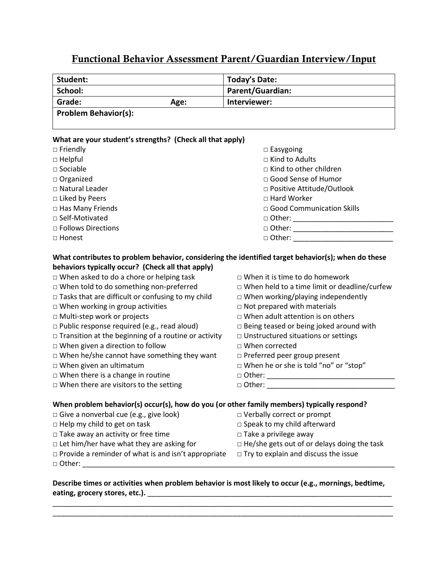## **Functional Behavior Assessment Parent/Guardian Interview/Input**

| Student:                                                                                                                                                                                                                                                                                                                                                                                                                                                                                                                                                                                                                                                                                                                                        | <b>Today's Date:</b>                                                                                                                                                                                                                                                                                                                                                                                                         |  |  |  |  |  |
|-------------------------------------------------------------------------------------------------------------------------------------------------------------------------------------------------------------------------------------------------------------------------------------------------------------------------------------------------------------------------------------------------------------------------------------------------------------------------------------------------------------------------------------------------------------------------------------------------------------------------------------------------------------------------------------------------------------------------------------------------|------------------------------------------------------------------------------------------------------------------------------------------------------------------------------------------------------------------------------------------------------------------------------------------------------------------------------------------------------------------------------------------------------------------------------|--|--|--|--|--|
| School:<br>Parent/Guardian:                                                                                                                                                                                                                                                                                                                                                                                                                                                                                                                                                                                                                                                                                                                     |                                                                                                                                                                                                                                                                                                                                                                                                                              |  |  |  |  |  |
| Grade:<br>Age:                                                                                                                                                                                                                                                                                                                                                                                                                                                                                                                                                                                                                                                                                                                                  | Interviewer:                                                                                                                                                                                                                                                                                                                                                                                                                 |  |  |  |  |  |
| <b>Problem Behavior(s):</b>                                                                                                                                                                                                                                                                                                                                                                                                                                                                                                                                                                                                                                                                                                                     |                                                                                                                                                                                                                                                                                                                                                                                                                              |  |  |  |  |  |
|                                                                                                                                                                                                                                                                                                                                                                                                                                                                                                                                                                                                                                                                                                                                                 |                                                                                                                                                                                                                                                                                                                                                                                                                              |  |  |  |  |  |
| What are your student's strengths? (Check all that apply)                                                                                                                                                                                                                                                                                                                                                                                                                                                                                                                                                                                                                                                                                       |                                                                                                                                                                                                                                                                                                                                                                                                                              |  |  |  |  |  |
| $\Box$ Friendly                                                                                                                                                                                                                                                                                                                                                                                                                                                                                                                                                                                                                                                                                                                                 | $\Box$ Easygoing                                                                                                                                                                                                                                                                                                                                                                                                             |  |  |  |  |  |
| $\Box$ Helpful                                                                                                                                                                                                                                                                                                                                                                                                                                                                                                                                                                                                                                                                                                                                  | $\Box$ Kind to Adults                                                                                                                                                                                                                                                                                                                                                                                                        |  |  |  |  |  |
| $\square$ Sociable                                                                                                                                                                                                                                                                                                                                                                                                                                                                                                                                                                                                                                                                                                                              | $\Box$ Kind to other children                                                                                                                                                                                                                                                                                                                                                                                                |  |  |  |  |  |
| $\Box$ Organized                                                                                                                                                                                                                                                                                                                                                                                                                                                                                                                                                                                                                                                                                                                                | □ Good Sense of Humor                                                                                                                                                                                                                                                                                                                                                                                                        |  |  |  |  |  |
| □ Natural Leader                                                                                                                                                                                                                                                                                                                                                                                                                                                                                                                                                                                                                                                                                                                                | □ Positive Attitude/Outlook                                                                                                                                                                                                                                                                                                                                                                                                  |  |  |  |  |  |
| □ Liked by Peers                                                                                                                                                                                                                                                                                                                                                                                                                                                                                                                                                                                                                                                                                                                                | □ Hard Worker                                                                                                                                                                                                                                                                                                                                                                                                                |  |  |  |  |  |
| □ Has Many Friends                                                                                                                                                                                                                                                                                                                                                                                                                                                                                                                                                                                                                                                                                                                              | □ Good Communication Skills                                                                                                                                                                                                                                                                                                                                                                                                  |  |  |  |  |  |
| □ Self-Motivated                                                                                                                                                                                                                                                                                                                                                                                                                                                                                                                                                                                                                                                                                                                                |                                                                                                                                                                                                                                                                                                                                                                                                                              |  |  |  |  |  |
| □ Follows Directions                                                                                                                                                                                                                                                                                                                                                                                                                                                                                                                                                                                                                                                                                                                            |                                                                                                                                                                                                                                                                                                                                                                                                                              |  |  |  |  |  |
| □ Honest                                                                                                                                                                                                                                                                                                                                                                                                                                                                                                                                                                                                                                                                                                                                        |                                                                                                                                                                                                                                                                                                                                                                                                                              |  |  |  |  |  |
| What contributes to problem behavior, considering the identified target behavior(s); when do these<br>behaviors typically occur? (Check all that apply)<br>$\Box$ When asked to do a chore or helping task<br>□ When told to do something non-preferred<br>$\Box$ Tasks that are difficult or confusing to my child<br>$\Box$ When working in group activities<br>$\Box$ Multi-step work or projects<br>□ Public response required (e.g., read aloud)<br>$\Box$ Transition at the beginning of a routine or activity<br>$\Box$ When given a direction to follow<br>□ When he/she cannot have something they want<br>$\Box$ When given an ultimatum<br>$\Box$ When there is a change in routine<br>$\Box$ When there are visitors to the setting | $\Box$ When it is time to do homework<br>$\Box$ When held to a time limit or deadline/curfew<br>$\Box$ When working/playing independently<br>$\Box$ Not prepared with materials<br>$\Box$ When adult attention is on others<br>$\Box$ Being teased or being joked around with<br>$\Box$ Unstructured situations or settings<br>□ When corrected<br>□ Preferred peer group present<br>□ When he or she is told "no" or "stop" |  |  |  |  |  |
|                                                                                                                                                                                                                                                                                                                                                                                                                                                                                                                                                                                                                                                                                                                                                 |                                                                                                                                                                                                                                                                                                                                                                                                                              |  |  |  |  |  |
| When problem behavior(s) occur(s), how do you (or other family members) typically respond?                                                                                                                                                                                                                                                                                                                                                                                                                                                                                                                                                                                                                                                      |                                                                                                                                                                                                                                                                                                                                                                                                                              |  |  |  |  |  |
| □ Give a nonverbal cue (e.g., give look)                                                                                                                                                                                                                                                                                                                                                                                                                                                                                                                                                                                                                                                                                                        | □ Verbally correct or prompt                                                                                                                                                                                                                                                                                                                                                                                                 |  |  |  |  |  |
| $\Box$ Help my child to get on task                                                                                                                                                                                                                                                                                                                                                                                                                                                                                                                                                                                                                                                                                                             | □ Speak to my child afterward                                                                                                                                                                                                                                                                                                                                                                                                |  |  |  |  |  |
| $\Box$ Take away an activity or free time                                                                                                                                                                                                                                                                                                                                                                                                                                                                                                                                                                                                                                                                                                       | $\square$ Take a privilege away                                                                                                                                                                                                                                                                                                                                                                                              |  |  |  |  |  |
| $\Box$ Let him/her have what they are asking for                                                                                                                                                                                                                                                                                                                                                                                                                                                                                                                                                                                                                                                                                                | $\Box$ He/she gets out of or delays doing the task                                                                                                                                                                                                                                                                                                                                                                           |  |  |  |  |  |
| $\Box$ Provide a reminder of what is and isn't appropriate<br>□ Other:                                                                                                                                                                                                                                                                                                                                                                                                                                                                                                                                                                                                                                                                          | $\Box$ Try to explain and discuss the issue                                                                                                                                                                                                                                                                                                                                                                                  |  |  |  |  |  |

## **Describe times or activities when problem behavior is most likely to occur (e.g., mornings, bedtime, eating, grocery stores, etc.).** \_\_\_\_\_\_\_\_\_\_\_\_\_\_\_\_\_\_\_\_\_\_\_\_\_\_\_\_\_\_\_\_\_\_\_\_\_\_\_\_\_\_\_\_\_\_\_\_\_\_\_\_\_\_\_\_\_\_\_\_\_

\_\_\_\_\_\_\_\_\_\_\_\_\_\_\_\_\_\_\_\_\_\_\_\_\_\_\_\_\_\_\_\_\_\_\_\_\_\_\_\_\_\_\_\_\_\_\_\_\_\_\_\_\_\_\_\_\_\_\_\_\_\_\_\_\_\_\_\_\_\_\_\_\_\_\_\_\_\_\_\_\_\_\_\_\_